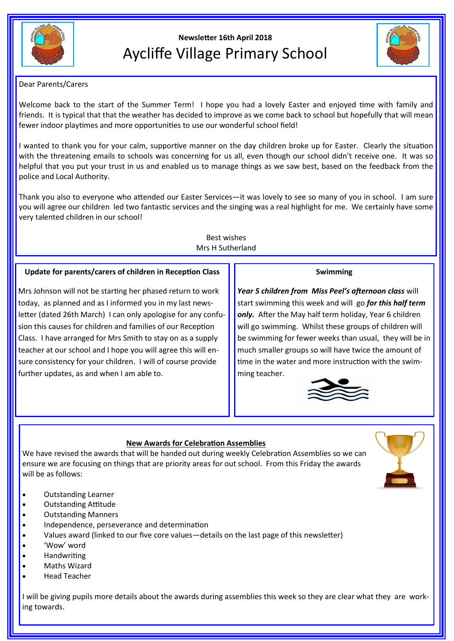

# **Newsletter 16th April 2018** Aycliffe Village Primary School



# Dear Parents/Carers

Welcome back to the start of the Summer Term! I hope you had a lovely Easter and enjoyed time with family and friends. It is typical that that the weather has decided to improve as we come back to school but hopefully that will mean fewer indoor playtimes and more opportunities to use our wonderful school field!

I wanted to thank you for your calm, supportive manner on the day children broke up for Easter. Clearly the situation with the threatening emails to schools was concerning for us all, even though our school didn't receive one. It was so helpful that you put your trust in us and enabled us to manage things as we saw best, based on the feedback from the police and Local Authority.

Thank you also to everyone who attended our Easter Services—it was lovely to see so many of you in school. I am sure you will agree our children led two fantastic services and the singing was a real highlight for me. We certainly have some very talented children in our school!

> Best wishes Mrs H Sutherland

# **Update for parents/carers of children in Reception Class**

Mrs Johnson will not be starting her phased return to work today, as planned and as I informed you in my last newsletter (dated 26th March) I can only apologise for any confusion this causes for children and families of our Reception Class. I have arranged for Mrs Smith to stay on as a supply teacher at our school and I hope you will agree this will ensure consistency for your children. I will of course provide further updates, as and when I am able to.

## **Swimming**

*Year 5 children from Miss Peel's afternoon class* will start swimming this week and will go *for this half term only.* After the May half term holiday, Year 6 children will go swimming. Whilst these groups of children will be swimming for fewer weeks than usual, they will be in much smaller groups so will have twice the amount of time in the water and more instruction with the swimming teacher.



# **New Awards for Celebration Assemblies**

We have revised the awards that will be handed out during weekly Celebration Assemblies so we can ensure we are focusing on things that are priority areas for out school. From this Friday the awards will be as follows:

- Outstanding Learner
- Outstanding Attitude
- Outstanding Manners
- Independence, perseverance and determination
- Values award (linked to our five core values—details on the last page of this newsletter)
- 'Wow' word
- **Handwriting**
- Maths Wizard
- Head Teacher

I will be giving pupils more details about the awards during assemblies this week so they are clear what they are working towards.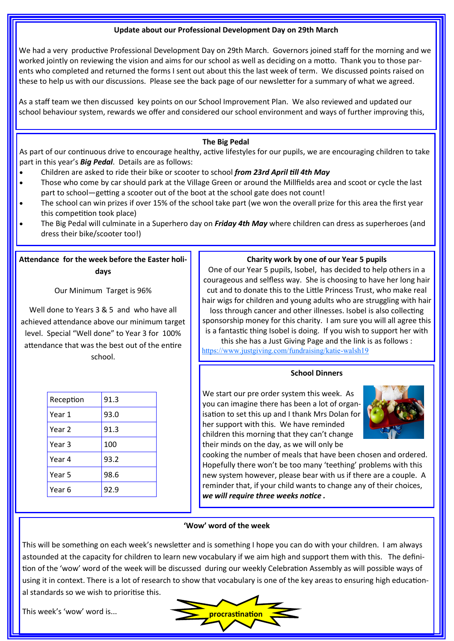#### **Update about our Professional Development Day on 29th March**

We had a very productive Professional Development Day on 29th March. Governors joined staff for the morning and we worked jointly on reviewing the vision and aims for our school as well as deciding on a motto. Thank you to those parents who completed and returned the forms I sent out about this the last week of term. We discussed points raised on these to help us with our discussions. Please see the back page of our newsletter for a summary of what we agreed.

As a staff team we then discussed key points on our School Improvement Plan. We also reviewed and updated our school behaviour system, rewards we offer and considered our school environment and ways of further improving this,

## **The Big Pedal**

As part of our continuous drive to encourage healthy, active lifestyles for our pupils, we are encouraging children to take part in this year's *Big Pedal*. Details are as follows:

- Children are asked to ride their bike or scooter to school *from 23rd April till 4th May*
- Those who come by car should park at the Village Green or around the Millfields area and scoot or cycle the last part to school—getting a scooter out of the boot at the school gate does not count!
- The school can win prizes if over 15% of the school take part (we won the overall prize for this area the first year this competition took place)
- The Big Pedal will culminate in a Superhero day on *Friday 4th May* where children can dress as superheroes (and dress their bike/scooter too!)

# **Attendance for the week before the Easter holidays**

Our Minimum Target is 96%

Well done to Years 3 & 5 and who have all achieved attendance above our minimum target level. Special "Well done" to Year 3 for 100% attendance that was the best out of the entire school.

| Reception | 91.3 |  |
|-----------|------|--|
| Year 1    | 93.0 |  |
| Year 2    | 91.3 |  |
| Year 3    | 100  |  |
| Year 4    | 93.2 |  |
| Year 5    | 98.6 |  |
| Year 6    | 92.9 |  |

#### **Charity work by one of our Year 5 pupils**

One of our Year 5 pupils, Isobel, has decided to help others in a courageous and selfless way. She is choosing to have her long hair cut and to donate this to the Little Princess Trust, who make real hair wigs for children and young adults who are struggling with hair loss through cancer and other illnesses. Isobel is also collecting sponsorship money for this charity. I am sure you will all agree this is a fantastic thing Isobel is doing. If you wish to support her with

this she has a Just Giving Page and the link is as follows : [https://www.justgiving.com/fundraising/katie](https://www.justgiving.com/fundraising/katie-walsh19)-walsh19

## **School Dinners**

We start our pre order system this week. As you can imagine there has been a lot of organisation to set this up and I thank Mrs Dolan for her support with this. We have reminded children this morning that they can't change their minds on the day, as we will only be



cooking the number of meals that have been chosen and ordered. Hopefully there won't be too many 'teething' problems with this new system however, please bear with us if there are a couple. A reminder that, if your child wants to change any of their choices, *we will require three weeks notice .*

#### **'Wow' word of the week**

This will be something on each week's newsletter and is something I hope you can do with your children. I am always astounded at the capacity for children to learn new vocabulary if we aim high and support them with this. The definition of the 'wow' word of the week will be discussed during our weekly Celebration Assembly as will possible ways of using it in context. There is a lot of research to show that vocabulary is one of the key areas to ensuring high educational standards so we wish to prioritise this.

This week's 'wow' word is...